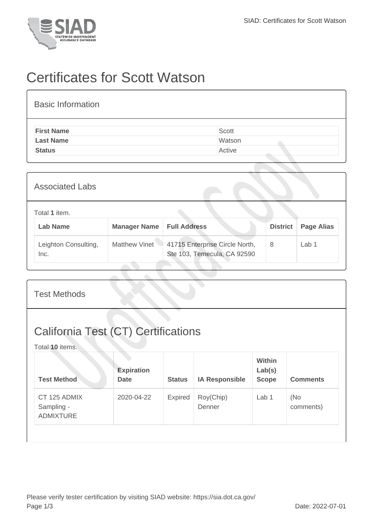

## Certificates for Scott Watson

| <b>Basic Information</b> |        |
|--------------------------|--------|
| <b>First Name</b>        | Scott  |
| <b>Last Name</b>         | Watson |
| <b>Status</b>            | Active |

| <b>Associated Labs</b>           |                     |                                                               |                 |                   |  |
|----------------------------------|---------------------|---------------------------------------------------------------|-----------------|-------------------|--|
| Total 1 item.<br><b>Lab Name</b> | <b>Manager Name</b> | <b>Full Address</b>                                           | <b>District</b> | <b>Page Alias</b> |  |
| Leighton Consulting,<br>Inc.     | Matthew Vinet       | 41715 Enterprise Circle North,<br>Ste 103, Temecula, CA 92590 | 8               | Lab 1             |  |

| <b>Test Methods</b>                                           |                                  |               |                       |                                         |                  |  |
|---------------------------------------------------------------|----------------------------------|---------------|-----------------------|-----------------------------------------|------------------|--|
| <b>California Test (CT) Certifications</b><br>Total 10 items. |                                  |               |                       |                                         |                  |  |
| <b>Test Method</b>                                            | <b>Expiration</b><br><b>Date</b> | <b>Status</b> | <b>IA Responsible</b> | <b>Within</b><br>Lab(s)<br><b>Scope</b> | <b>Comments</b>  |  |
| CT 125 ADMIX<br>Sampling -<br><b>ADMIXTURE</b>                | 2020-04-22                       | Expired       | Roy(Chip)<br>Denner   | Lab 1                                   | (No<br>comments) |  |
|                                                               |                                  |               |                       |                                         |                  |  |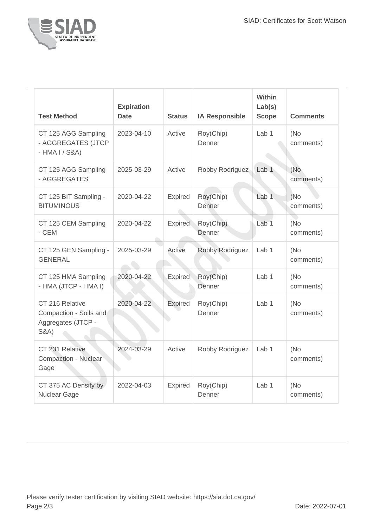

| <b>Test Method</b>                                                                 | <b>Expiration</b><br><b>Date</b> | <b>Status</b>  | <b>IA Responsible</b> | Within<br>Lab(s)<br><b>Scope</b> | <b>Comments</b>   |
|------------------------------------------------------------------------------------|----------------------------------|----------------|-----------------------|----------------------------------|-------------------|
| CT 125 AGG Sampling<br>- AGGREGATES (JTCP<br>$-HMA I / S&A)$                       | 2023-04-10                       | Active         | Roy(Chip)<br>Denner   | Lab <sub>1</sub>                 | (No<br>comments)  |
| CT 125 AGG Sampling<br>- AGGREGATES                                                | 2025-03-29                       | Active         | Robby Rodriguez       | Lab <sub>1</sub>                 | (No<br>comments)  |
| CT 125 BIT Sampling -<br><b>BITUMINOUS</b>                                         | 2020-04-22                       | Expired        | Roy(Chip)<br>Denner   | Lab <sub>1</sub>                 | (No)<br>comments) |
| CT 125 CEM Sampling<br>- CEM                                                       | 2020-04-22                       | <b>Expired</b> | Roy(Chip)<br>Denner   | Lab <sub>1</sub>                 | (No<br>comments)  |
| CT 125 GEN Sampling -<br><b>GENERAL</b>                                            | 2025-03-29                       | Active         | Robby Rodriguez       | Lab <sub>1</sub>                 | (No<br>comments)  |
| CT 125 HMA Sampling<br>- HMA (JTCP - HMA I)                                        | 2020-04-22                       | <b>Expired</b> | Roy(Chip)<br>Denner   | Lab <sub>1</sub>                 | (No<br>comments)  |
| CT 216 Relative<br>Compaction - Soils and<br>Aggregates (JTCP -<br><b>S&amp;A)</b> | 2020-04-22                       | <b>Expired</b> | Roy(Chip)<br>Denner   | Lab <sub>1</sub>                 | (No<br>comments)  |
| CT 231 Relative<br><b>Compaction - Nuclear</b><br>Gage                             | 2024-03-29                       | Active         | Robby Rodriguez       | Lab <sub>1</sub>                 | (No<br>comments)  |
| CT 375 AC Density by<br>Nuclear Gage                                               | 2022-04-03                       | <b>Expired</b> | Roy(Chip)<br>Denner   | Lab <sub>1</sub>                 | (No<br>comments)  |